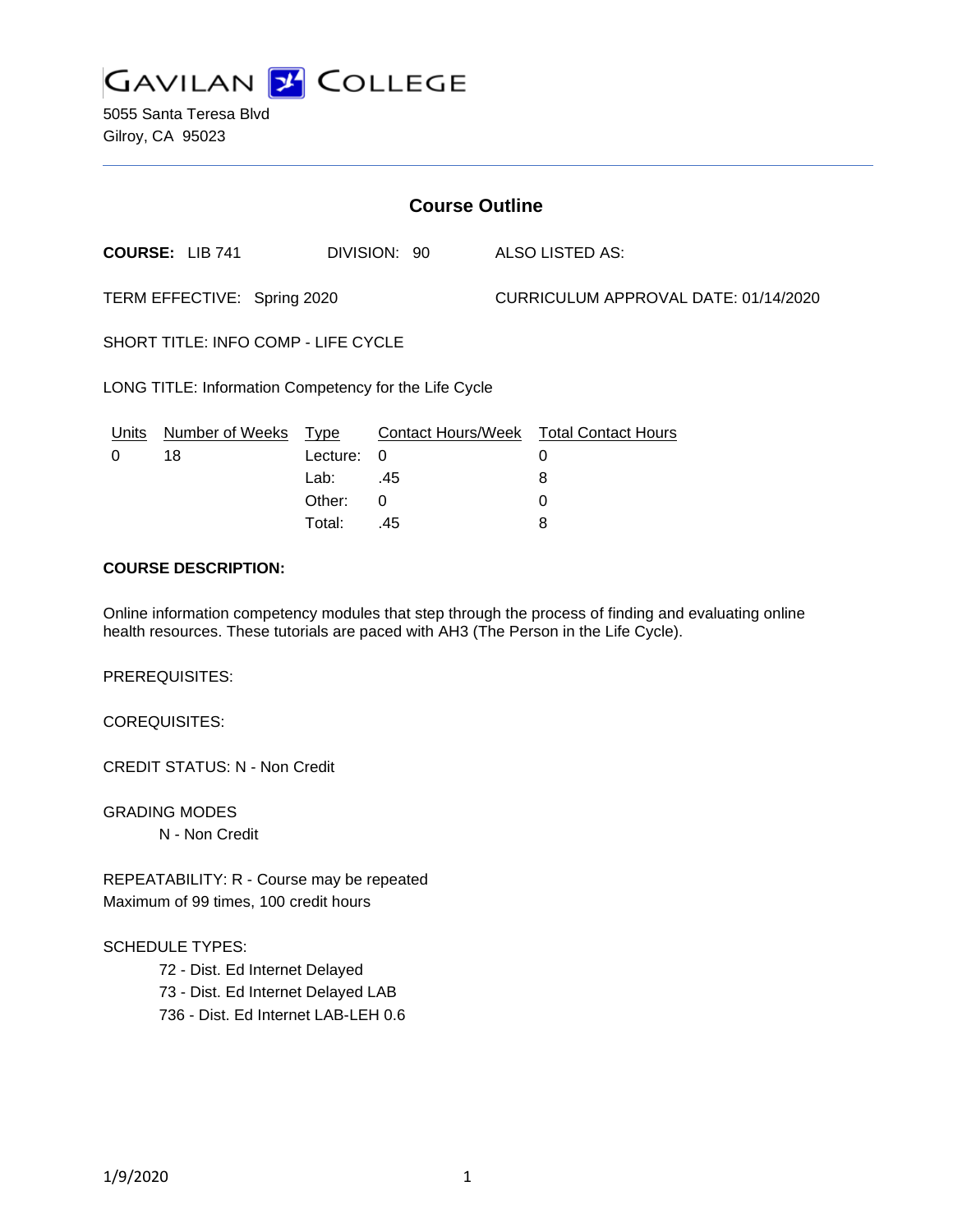

5055 Santa Teresa Blvd Gilroy, CA 95023

| <b>Course Outline</b>                                 |                       |                                                     |                      |                                      |                                                            |
|-------------------------------------------------------|-----------------------|-----------------------------------------------------|----------------------|--------------------------------------|------------------------------------------------------------|
| <b>COURSE: LIB 741</b>                                |                       | DIVISION: 90                                        |                      | ALSO LISTED AS:                      |                                                            |
| TERM EFFECTIVE: Spring 2020                           |                       |                                                     |                      | CURRICULUM APPROVAL DATE: 01/14/2020 |                                                            |
| <b>SHORT TITLE: INFO COMP - LIFE CYCLE</b>            |                       |                                                     |                      |                                      |                                                            |
| LONG TITLE: Information Competency for the Life Cycle |                       |                                                     |                      |                                      |                                                            |
| Units<br>$\Omega$                                     | Number of Weeks<br>18 | <u>Type</u><br>Lecture:<br>Lab:<br>Other:<br>Total: | 0<br>.45<br>0<br>.45 |                                      | Contact Hours/Week Total Contact Hours<br>0<br>8<br>0<br>8 |
|                                                       |                       |                                                     |                      |                                      |                                                            |

# **COURSE DESCRIPTION:**

Online information competency modules that step through the process of finding and evaluating online health resources. These tutorials are paced with AH3 (The Person in the Life Cycle).

PREREQUISITES:

COREQUISITES:

CREDIT STATUS: N - Non Credit

GRADING MODES N - Non Credit

REPEATABILITY: R - Course may be repeated Maximum of 99 times, 100 credit hours

SCHEDULE TYPES:

72 - Dist. Ed Internet Delayed 73 - Dist. Ed Internet Delayed LAB 736 - Dist. Ed Internet LAB-LEH 0.6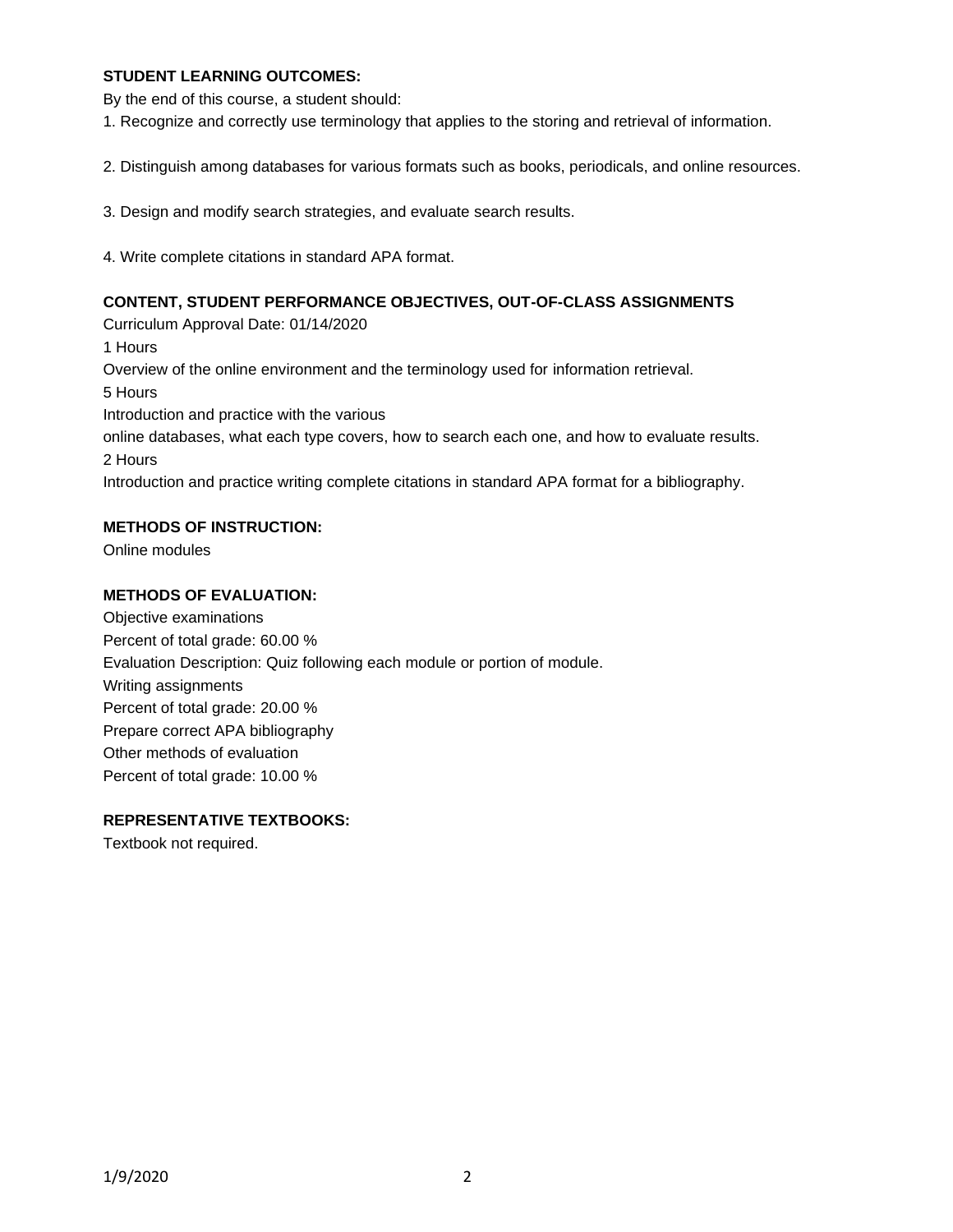## **STUDENT LEARNING OUTCOMES:**

By the end of this course, a student should:

1. Recognize and correctly use terminology that applies to the storing and retrieval of information.

2. Distinguish among databases for various formats such as books, periodicals, and online resources.

3. Design and modify search strategies, and evaluate search results.

4. Write complete citations in standard APA format.

### **CONTENT, STUDENT PERFORMANCE OBJECTIVES, OUT-OF-CLASS ASSIGNMENTS**

Curriculum Approval Date: 01/14/2020 1 Hours Overview of the online environment and the terminology used for information retrieval. 5 Hours Introduction and practice with the various online databases, what each type covers, how to search each one, and how to evaluate results. 2 Hours Introduction and practice writing complete citations in standard APA format for a bibliography.

## **METHODS OF INSTRUCTION:**

Online modules

#### **METHODS OF EVALUATION:**

Objective examinations Percent of total grade: 60.00 % Evaluation Description: Quiz following each module or portion of module. Writing assignments Percent of total grade: 20.00 % Prepare correct APA bibliography Other methods of evaluation Percent of total grade: 10.00 %

## **REPRESENTATIVE TEXTBOOKS:**

Textbook not required.